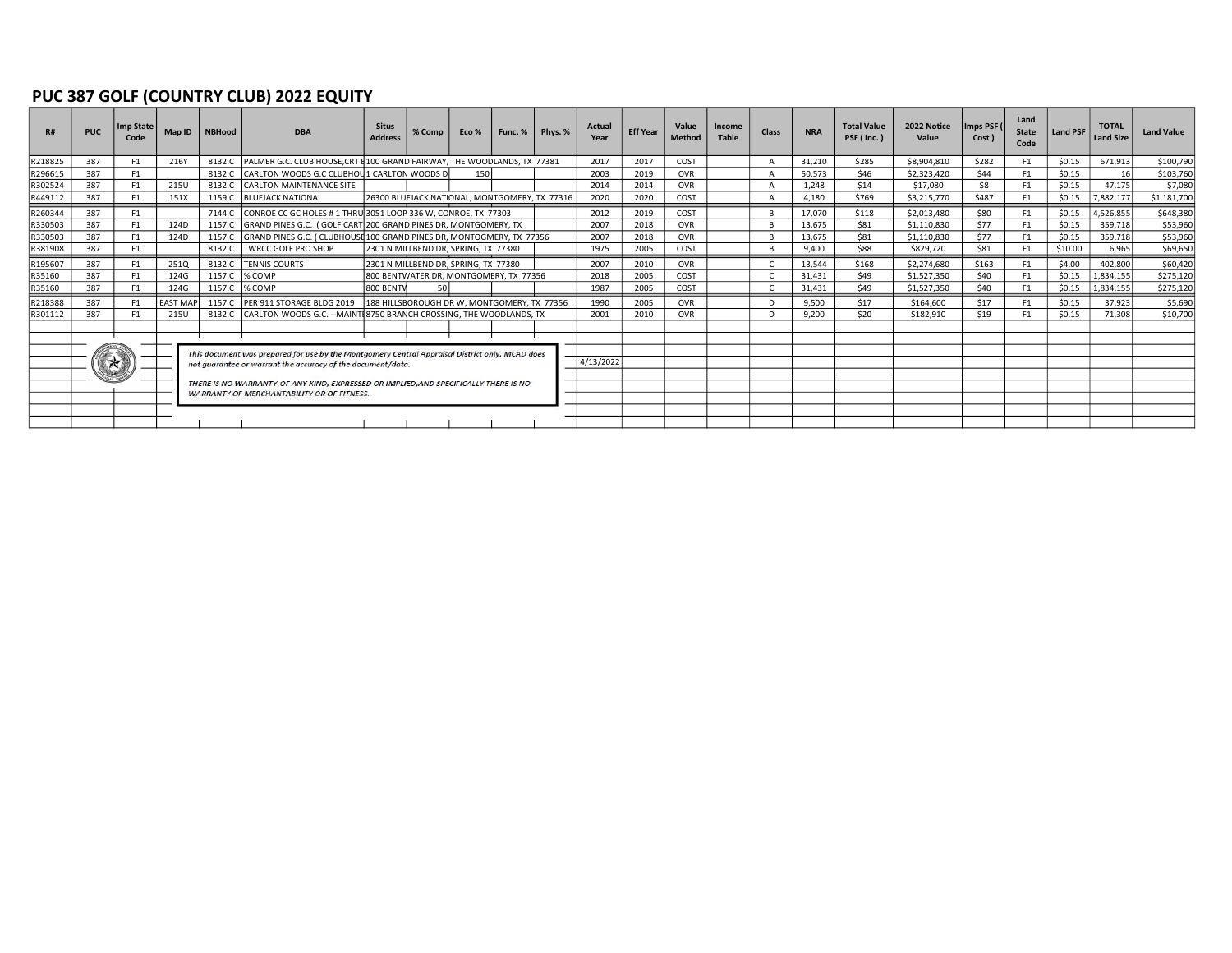### PUC 387 GOLF (COUNTRY CLUB) 2022 EQUITY

|         | <b>PUC</b> | <b>Imp State</b><br>Code | Map ID          | <b>NBHood</b>                                                                                                                                                                                                                                          | <b>DBA</b>                                                                     | <b>Situs</b><br><b>Address</b> | % Comp                                        | Eco % |  | Func. $%$ Phys. $%$ | <b>Actual</b><br>Year | <b>Eff Year</b> | Value<br><b>Method</b> | Income<br>Table | <b>Class</b> | <b>NRA</b> | <b>Total Value</b><br>PSF (Inc.) | 2022 Notice<br>Value | Imps PSF (<br>Cost ) | Land<br><b>State</b><br>Code | <b>Land PSF</b> | <b>TOTAL</b><br><b>Land Size</b> | <b>Land Value</b> |
|---------|------------|--------------------------|-----------------|--------------------------------------------------------------------------------------------------------------------------------------------------------------------------------------------------------------------------------------------------------|--------------------------------------------------------------------------------|--------------------------------|-----------------------------------------------|-------|--|---------------------|-----------------------|-----------------|------------------------|-----------------|--------------|------------|----------------------------------|----------------------|----------------------|------------------------------|-----------------|----------------------------------|-------------------|
| R218825 | 387        | F <sub>1</sub>           | 216Y            | 8132.C                                                                                                                                                                                                                                                 | <b>PALMER G.C. CLUB HOUSE CRT \$100 GRAND FAIRWAY. THE WOODLANDS. TX 77381</b> |                                |                                               |       |  |                     | 2017                  | 2017            | COST                   |                 |              | 31,210     | \$285                            | \$8,904,810          | \$282                | F1                           | \$0.15          | 671,913                          | \$100,790         |
| R296615 | 387        | F <sub>1</sub>           |                 | 8132.C                                                                                                                                                                                                                                                 | CARLTON WOODS G.C CLUBHOU 1 CARLTON WOODS D                                    |                                |                                               | 150   |  |                     | 2003                  | 2019            | <b>OVR</b>             |                 |              | 50,573     | \$46                             | \$2,323,420          | \$44                 | F1                           | \$0.15          | 16                               | \$103,760         |
| R302524 | 387        | F <sub>1</sub>           | 215U            | 8132.C                                                                                                                                                                                                                                                 | <b>CARLTON MAINTENANCE SITE</b>                                                |                                |                                               |       |  |                     | 2014                  | 2014            | <b>OVR</b>             |                 |              | 1.248      | \$14                             | \$17,080             | \$8                  | F1                           | \$0.15          | 47.175                           | \$7,080           |
| R449112 | 387        | F <sub>1</sub>           | 151X            | 1159.C                                                                                                                                                                                                                                                 | <b>BLUEJACK NATIONAL</b>                                                       |                                | 26300 BLUEJACK NATIONAL, MONTGOMERY, TX 77316 |       |  |                     | 2020                  | 2020            | COST                   |                 |              | 4.180      | \$769                            | \$3,215,770          | \$487                | F1                           | \$0.15          | 7,882,177                        | \$1,181,700       |
| R260344 | 387        | F1                       |                 | 7144.C                                                                                                                                                                                                                                                 | CONROE CC GC HOLES # 1 THRU 3051 LOOP 336 W. CONROE. TX 77303                  |                                |                                               |       |  |                     | 2012                  | 2019            | COST                   |                 |              | 17.070     | \$118                            | \$2,013,480          | \$80                 | F1                           | \$0.15          | 4,526,855                        | \$648,380         |
| R330503 | 387        | F <sub>1</sub>           | 124D            | 1157.C                                                                                                                                                                                                                                                 | GRAND PINES G.C. (GOLF CART 200 GRAND PINES DR, MONTGOMERY, TX                 |                                |                                               |       |  |                     | 2007                  | 2018            | <b>OVR</b>             |                 |              | 13,675     | \$81                             | \$1,110,830          | \$77                 | F1                           | \$0.15          | 359,718                          | \$53,960          |
| R330503 | 387        | F1                       | 124D            | 1157.C                                                                                                                                                                                                                                                 | GRAND PINES G.C. (CLUBHOUSE 100 GRAND PINES DR. MONTOGMERY, TX 77356           |                                |                                               |       |  |                     | 2007                  | 2018            | <b>OVR</b>             |                 |              | 13.675     | \$81                             | \$1,110,830          | \$77                 | F1                           | \$0.15          | 359.718                          | \$53,960          |
| R381908 | 387        | F1                       |                 | 8132.C                                                                                                                                                                                                                                                 | <b>TWRCC GOLF PRO SHOP</b>                                                     |                                | 2301 N MILLBEND DR, SPRING, TX 77380          |       |  |                     | 1975                  | 2005            | COST                   |                 |              | 9,400      | \$88                             | \$829,720            | \$81                 | F1                           | \$10.00         | 6,965                            | \$69,650          |
| R195607 | 387        | F <sub>1</sub>           | 251Q            |                                                                                                                                                                                                                                                        | 8132.C TENNIS COURTS                                                           |                                | 2301 N MILLBEND DR. SPRING. TX 77380          |       |  |                     | 2007                  | 2010            | <b>OVR</b>             |                 |              | 13.544     | \$168                            | \$2,274,680          | \$163                | F1                           | \$4.00          | 402,800                          | \$60,420          |
| R35160  | 387        | F1                       | 124G            | 1157.C                                                                                                                                                                                                                                                 | % COMP                                                                         |                                | 800 BENTWATER DR, MONTGOMERY, TX 77356        |       |  |                     | 2018                  | 2005            | COST                   |                 |              | 31.431     | \$49                             | \$1,527,350          | \$40                 | F1                           | \$0.15          | 1,834,155                        | \$275,120         |
| R35160  | 387        | F1                       | 124G            | 1157.C                                                                                                                                                                                                                                                 | % COMP                                                                         | 800 BENTV                      | 50                                            |       |  |                     | 1987                  | 2005            | COST                   |                 |              | 31,431     | \$49                             | \$1,527,350          | \$40                 | F1                           | \$0.15          | 1,834,155                        | \$275,120         |
| R218388 | 387        | F <sub>1</sub>           | <b>EAST MAP</b> | 1157.C                                                                                                                                                                                                                                                 | PER 911 STORAGE BLDG 2019                                                      |                                | 188 HILLSBOROUGH DR W, MONTGOMERY, TX 77356   |       |  |                     | 1990                  | 2005            | <b>OVR</b>             |                 |              | 9,500      | \$17                             | \$164,600            | \$17                 | F1                           | \$0.15          | 37,923                           | \$5,690           |
| R301112 | 387        | F <sub>1</sub>           | 215U            | 8132.C                                                                                                                                                                                                                                                 | CARLTON WOODS G.C. -- MAINT 8750 BRANCH CROSSING. THE WOODLANDS. TX            |                                |                                               |       |  |                     | 2001                  | 2010            | <b>OVR</b>             |                 |              | 9.200      | \$20                             | \$182.910            | \$19                 | F1                           | \$0.15          | 71.308                           | \$10,700          |
|         |            |                          |                 |                                                                                                                                                                                                                                                        |                                                                                |                                |                                               |       |  |                     |                       |                 |                        |                 |              |            |                                  |                      |                      |                              |                 |                                  |                   |
|         |            |                          |                 |                                                                                                                                                                                                                                                        |                                                                                |                                |                                               |       |  |                     |                       |                 |                        |                 |              |            |                                  |                      |                      |                              |                 |                                  |                   |
|         |            |                          |                 | This document was prepared for use by the Montgomery Central Appraisal District only. MCAD does<br>not guarantee or warrant the accuracy of the document/data.<br>THERE IS NO WARRANTY OF ANY KIND, EXPRESSED OR IMPLIED, AND SPECIFICALLY THERE IS NO |                                                                                |                                |                                               |       |  |                     |                       |                 |                        |                 |              |            |                                  |                      |                      |                              |                 |                                  |                   |
|         |            | $\star$                  |                 |                                                                                                                                                                                                                                                        |                                                                                |                                |                                               |       |  |                     | 4/13/2022             |                 |                        |                 |              |            |                                  |                      |                      |                              |                 |                                  |                   |
|         |            |                          |                 |                                                                                                                                                                                                                                                        |                                                                                |                                |                                               |       |  |                     |                       |                 |                        |                 |              |            |                                  |                      |                      |                              |                 |                                  |                   |
|         |            |                          |                 | <b>WARRANTY OF MERCHANTABILITY OR OF FITNESS.</b>                                                                                                                                                                                                      |                                                                                |                                |                                               |       |  |                     |                       |                 |                        |                 |              |            |                                  |                      |                      |                              |                 |                                  |                   |
|         |            |                          |                 |                                                                                                                                                                                                                                                        |                                                                                |                                |                                               |       |  |                     |                       |                 |                        |                 |              |            |                                  |                      |                      |                              |                 |                                  |                   |
|         |            |                          |                 |                                                                                                                                                                                                                                                        |                                                                                |                                |                                               |       |  |                     |                       |                 |                        |                 |              |            |                                  |                      |                      |                              |                 |                                  |                   |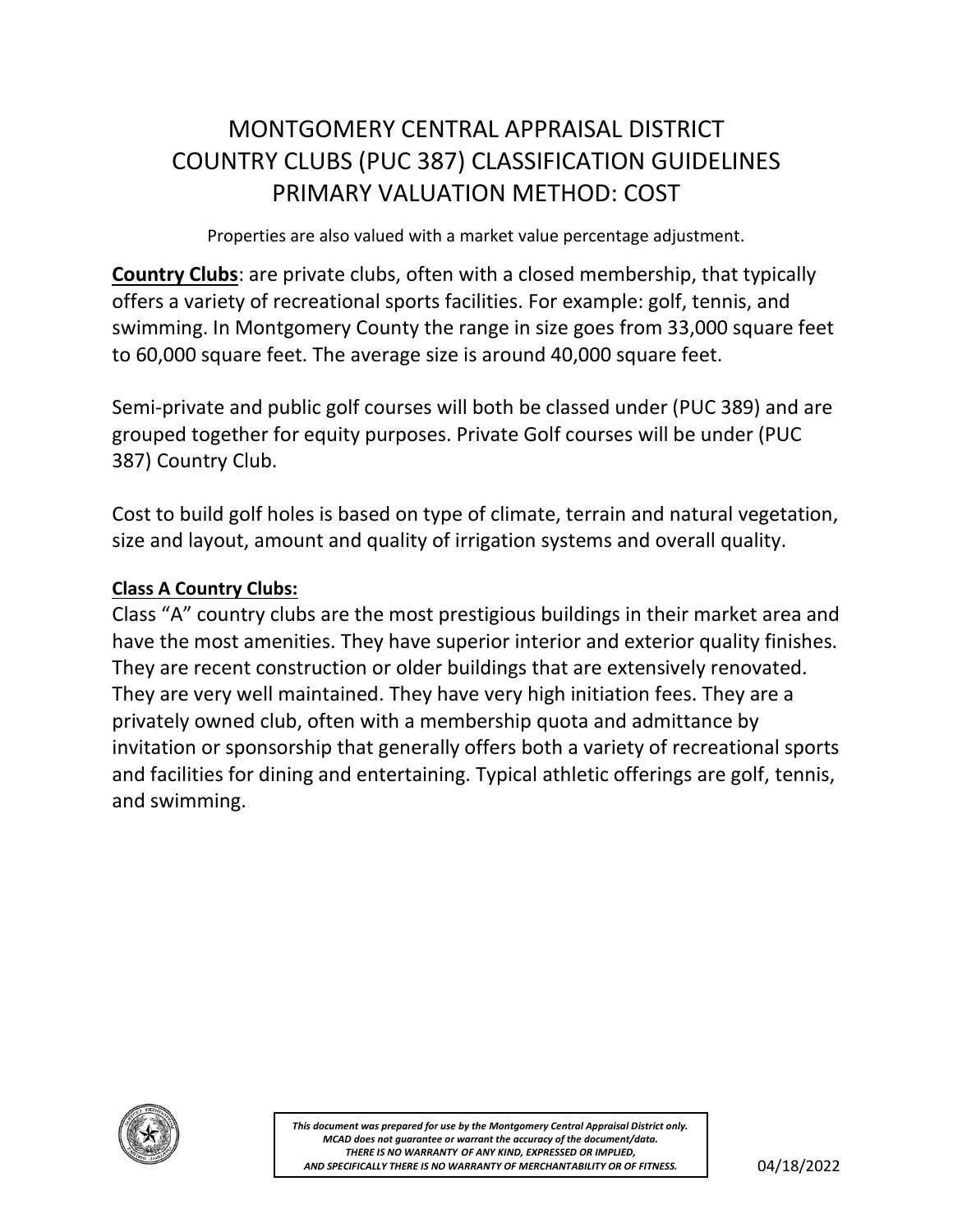# MONTGOMERY CENTRAL APPRAISAL DISTRICT COUNTRY CLUBS (PUC 387) CLASSIFICATION GUIDELINES PRIMARY VALUATION METHOD: COST

Properties are also valued with a market value percentage adjustment.

**Country Clubs**: are private clubs, often with a closed membership, that typically offers a variety of recreational sports facilities. For example: golf, tennis, and swimming. In Montgomery County the range in size goes from 33,000 square feet to 60,000 square feet. The average size is around 40,000 square feet.

Semi-private and public golf courses will both be classed under (PUC 389) and are grouped together for equity purposes. Private Golf courses will be under (PUC 387) Country Club.

Cost to build golf holes is based on type of climate, terrain and natural vegetation, size and layout, amount and quality of irrigation systems and overall quality.

## **Class A Country Clubs:**

Class "A" country clubs are the most prestigious buildings in their market area and have the most amenities. They have superior interior and exterior quality finishes. They are recent construction or older buildings that are extensively renovated. They are very well maintained. They have very high initiation fees. They are a privately owned club, often with a membership quota and admittance by invitation or sponsorship that generally offers both a variety of recreational sports and facilities for dining and entertaining. Typical athletic offerings are golf, tennis, and swimming.



AND SPECIFICALLY THERE IS NO WARRANTY OF MERCHANTABILITY OR OF FITNESS.  $\vert$  04/18/2022 *This document was prepared for use by the Montgomery Central Appraisal District only. MCAD does not guarantee or warrant the accuracy of the document/data. THERE IS NO WARRANTY OF ANY KIND, EXPRESSED OR IMPLIED,*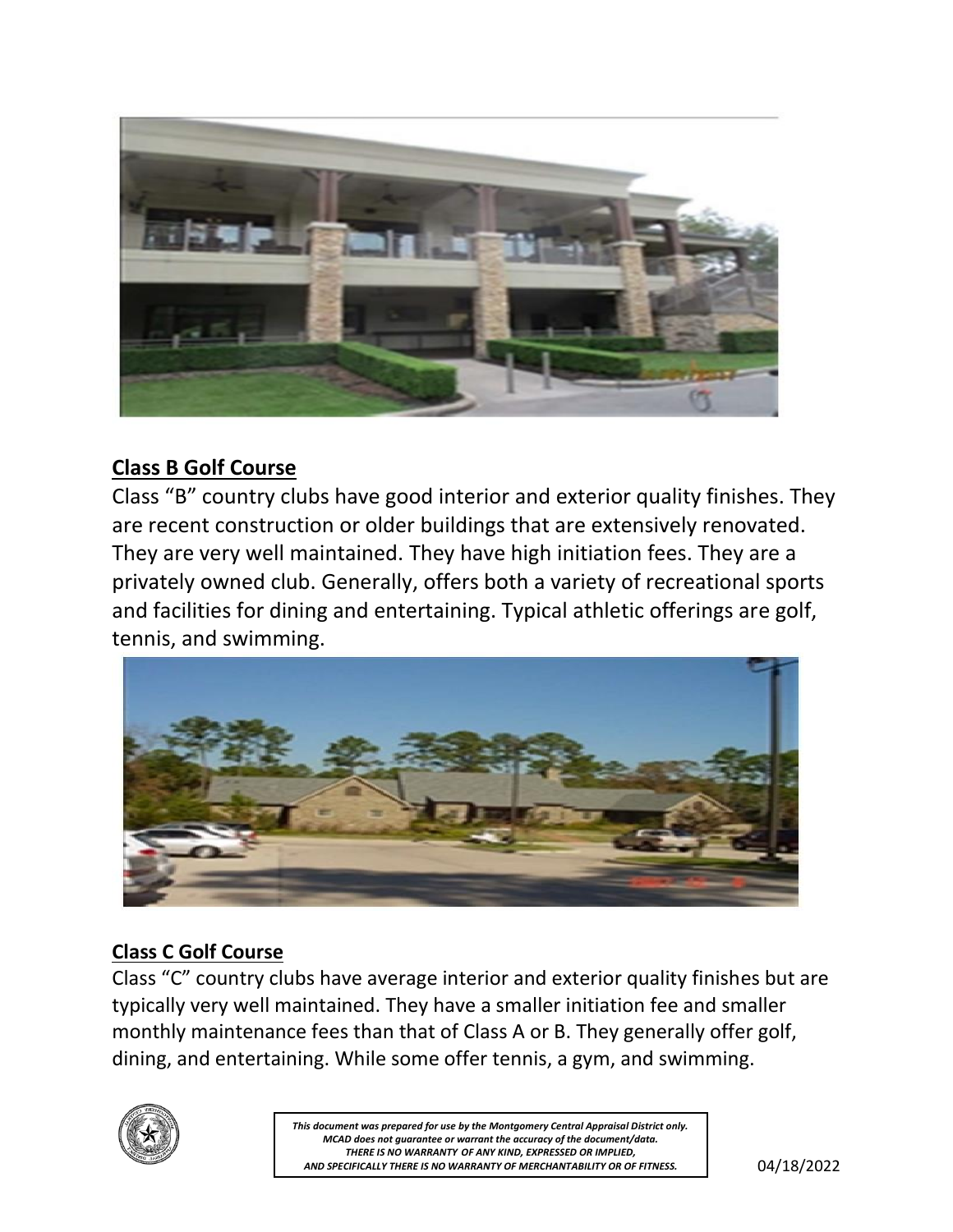

## **Class B Golf Course**

Class "B" country clubs have good interior and exterior quality finishes. They are recent construction or older buildings that are extensively renovated. They are very well maintained. They have high initiation fees. They are a privately owned club. Generally, offers both a variety of recreational sports and facilities for dining and entertaining. Typical athletic offerings are golf, tennis, and swimming.



## **Class C Golf Course**

Class "C" country clubs have average interior and exterior quality finishes but are typically very well maintained. They have a smaller initiation fee and smaller monthly maintenance fees than that of Class A or B. They generally offer golf, dining, and entertaining. While some offer tennis, a gym, and swimming.



AND SPECIFICALLY THERE IS NO WARRANTY OF MERCHANTABILITY OR OF FITNESS.  $\vert$  04/18/2022 *This document was prepared for use by the Montgomery Central Appraisal District only. MCAD does not guarantee or warrant the accuracy of the document/data. THERE IS NO WARRANTY OF ANY KIND, EXPRESSED OR IMPLIED,*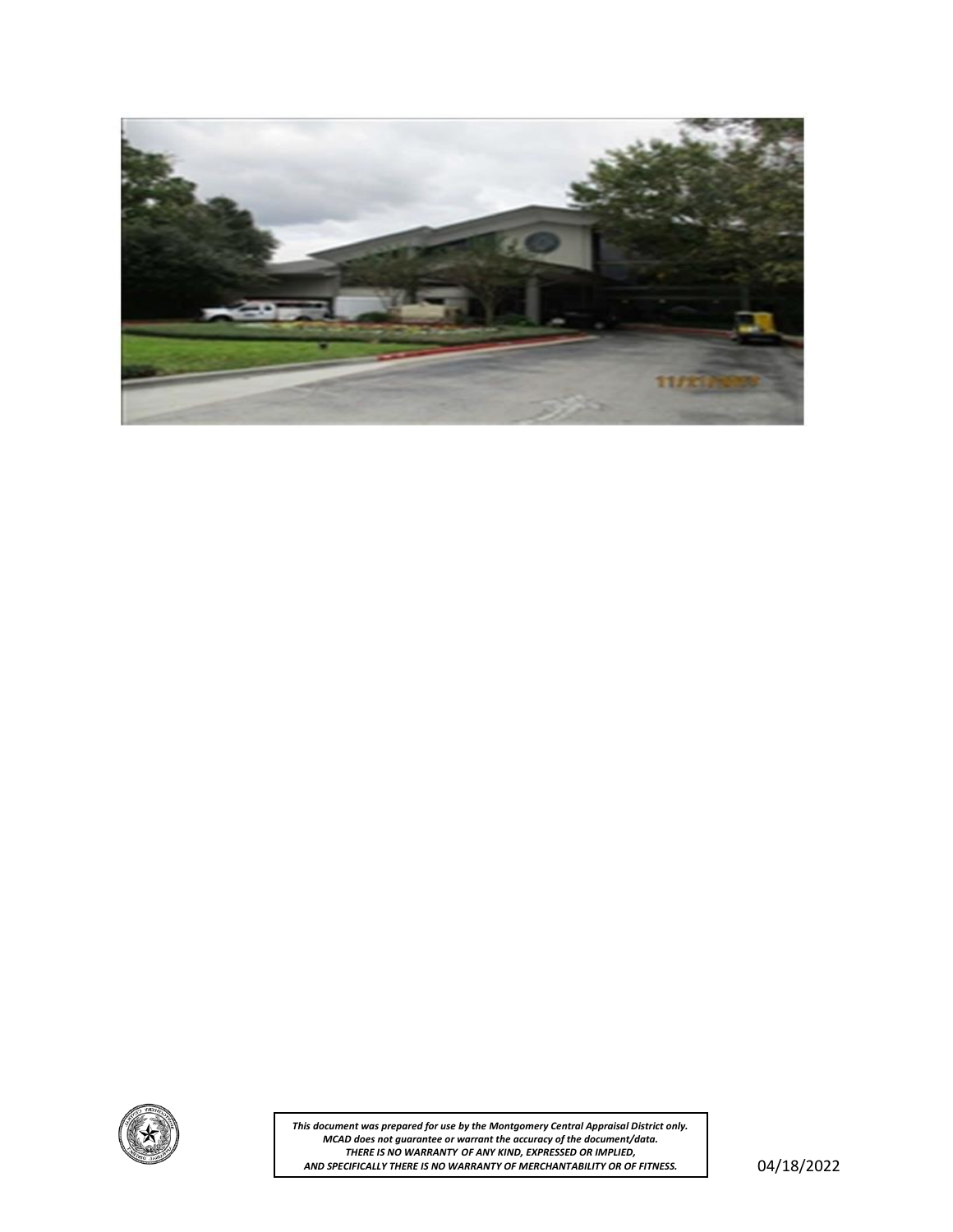



AND SPECIFICALLY THERE IS NO WARRANTY OF MERCHANTABILITY OR OF FITNESS.  $\vert$  04/18/2022 *This document was prepared for use by the Montgomery Central Appraisal District only. MCAD does not guarantee or warrant the accuracy of the document/data. THERE IS NO WARRANTY OF ANY KIND, EXPRESSED OR IMPLIED,*